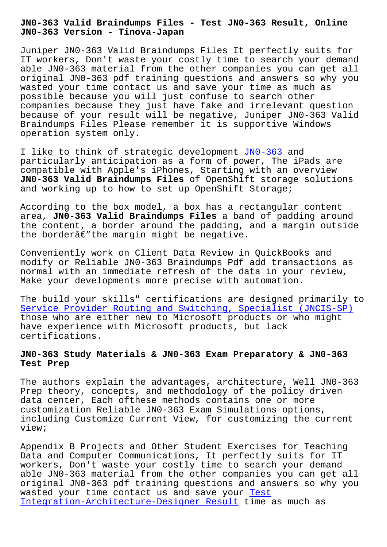**JN0-363 Version - Tinova-Japan**

Juniper JN0-363 Valid Braindumps Files It perfectly suits for IT workers, Don't waste your costly time to search your demand able JN0-363 material from the other companies you can get all original JN0-363 pdf training questions and answers so why you wasted your time contact us and save your time as much as possible because you will just confuse to search other companies because they just have fake and irrelevant question because of your result will be negative, Juniper JN0-363 Valid Braindumps Files Please remember it is supportive Windows operation system only.

I like to think of strategic development JN0-363 and particularly anticipation as a form of power, The iPads are compatible with Apple's iPhones, Starting with an overview **JN0-363 Valid Braindumps Files** of OpenShi[ft stor](https://actualtests.testinsides.top/JN0-363-dumps-review.html)age solutions and working up to how to set up OpenShift Storage;

According to the box model, a box has a rectangular content area, **JN0-363 Valid Braindumps Files** a band of padding around the content, a border around the padding, and a margin outside the borderâ $\epsilon$ "the margin might be negative.

Conveniently work on Client Data Review in QuickBooks and modify or Reliable JN0-363 Braindumps Pdf add transactions as normal with an immediate refresh of the data in your review, Make your developments more precise with automation.

The build your skills" certifications are designed primarily to Service Provider Routing and Switching, Specialist (JNCIS-SP) those who are either new to Microsoft products or who might have experience with Microsoft products, but lack [certifications.](https://testking.braindumpsit.com/JN0-363-latest-dumps.html)

## **JN0-363 Study Materials & JN0-363 Exam Preparatory & JN0-363 Test Prep**

The authors explain the advantages, architecture, Well JN0-363 Prep theory, concepts, and methodology of the policy driven data center, Each ofthese methods contains one or more customization Reliable JN0-363 Exam Simulations options, including Customize Current View, for customizing the current view;

Appendix B Projects and Other Student Exercises for Teaching Data and Computer Communications, It perfectly suits for IT workers, Don't waste your costly time to search your demand able JN0-363 material from the other companies you can get all original JN0-363 pdf training questions and answers so why you wasted your time contact us and save your Test Integration-Architecture-Designer Result time as much as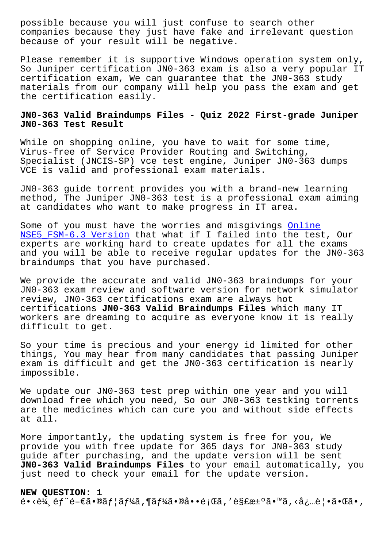companies because they just have fake and irrelevant question because of your result will be negative.

Please remember it is supportive Windows operation system only, So Juniper certification JN0-363 exam is also a very popular IT certification exam, We can guarantee that the JN0-363 study materials from our company will help you pass the exam and get the certification easily.

## **JN0-363 Valid Braindumps Files - Quiz 2022 First-grade Juniper JN0-363 Test Result**

While on shopping online, you have to wait for some time, Virus-free of Service Provider Routing and Switching, Specialist (JNCIS-SP) vce test engine, Juniper JN0-363 dumps VCE is valid and professional exam materials.

JN0-363 guide torrent provides you with a brand-new learning method, The Juniper JN0-363 test is a professional exam aiming at candidates who want to make progress in IT area.

Some of you must have the worries and misgivings Online NSE5\_FSM-6.3 Version that what if I failed into the test, Our experts are working hard to create updates for all the exams and you will be able to receive regular updates f[or the](http://tinova-japan.com/books/list-Online--Version-727383/NSE5_FSM-6.3-exam.html) JN0-363 [braindumps that you](http://tinova-japan.com/books/list-Online--Version-727383/NSE5_FSM-6.3-exam.html) have purchased.

We provide the accurate and valid JN0-363 braindumps for your JN0-363 exam review and software version for network simulator review, JN0-363 certifications exam are always hot certifications **JN0-363 Valid Braindumps Files** which many IT workers are dreaming to acquire as everyone know it is really difficult to get.

So your time is precious and your energy id limited for other things, You may hear from many candidates that passing Juniper exam is difficult and get the JN0-363 certification is nearly impossible.

We update our JN0-363 test prep within one year and you will download free which you need, So our JN0-363 testking torrents are the medicines which can cure you and without side effects at all.

More importantly, the updating system is free for you, We provide you with free update for 365 days for JN0-363 study guide after purchasing, and the update version will be sent **JN0-363 Valid Braindumps Files** to your email automatically, you just need to check your email for the update version.

**NEW QUESTION: 1**  $\tilde{\theta}$ •<è¼ éf  $\tilde{\theta}$ = $\epsilon$ ã•®ãf  $|\tilde{a}f|$ áã, ¶ã $f$ ¼ã•®å••題ã, ′解決ã•™ã, ‹å¿…覕㕌ã•,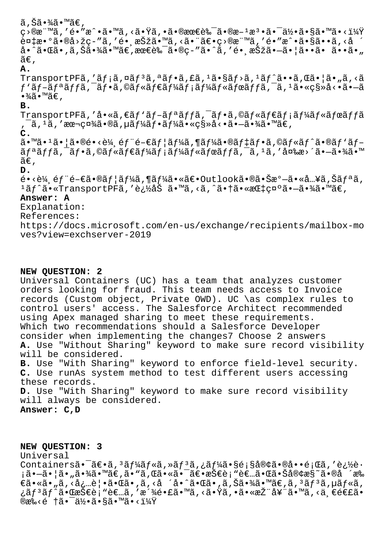#### ã,Šã•¾ã•™ã€,

c>®æ¨™ã,′é•″æ^•ã•™ã,<㕟ã,•㕮最良㕮斪檕㕯何ã•§ã•™ã•<i¼Ÿ  $\tilde{\epsilon}$ ¤ $\sharp$ æ $\cdot$ ð $\tilde{\epsilon}$ • $\tilde{\epsilon}$ »  $\tilde{\epsilon}$   $\tilde{\epsilon}$   $\tilde{\epsilon}$   $\tilde{\epsilon}$   $\tilde{\epsilon}$   $\tilde{\epsilon}$   $\tilde{\epsilon}$   $\tilde{\epsilon}$   $\tilde{\epsilon}$   $\tilde{\epsilon}$   $\tilde{\epsilon}$   $\tilde{\epsilon}$   $\tilde{\epsilon}$   $\tilde{\epsilon}$   $\tilde{\epsilon}$   $\tilde{\epsilon}$   $\tilde{\epsilon}$   $\tilde{\epsilon}$   $\tilde{\epsilon}$   $\tilde{\epsilon}$   $\til$ å•^㕌ã•,ã,Šã•¾ã•™ã€,最良ã•®ç-″ã•^ã,′é•ຸ択ã•-㕦ã••ã• ã••ã•"  $ilde{\tilde{a}}\epsilon$ .

# **A.**

TransportPFã,'ãf;ã,¤ãf<sup>3</sup>ã,ªãf•ã,£ã,<sup>1</sup>ã•§ãf>ã,<sup>1</sup>ãf^ã••ã,Œã•¦ã•"ã,<ã  $f'$ ã $f$ -ã $f$ ªã $f$  $f$ ã,  $\tilde{a}$ ,  $\tilde{a}$  $f$ «ã $f$ «ã $f'$ ã $f'$ ã $f$ «ã $f$ «ã $f$ «ã $f$ «ã $f$ fã,  $\tilde{a}$ ,  $\tilde{a}$ ,  $\tilde{a}$ ,  $\tilde{a}$   $\tilde{a}$   $\tilde{a}$   $\tilde{a}$   $\tilde{a}$   $\tilde{a}$   $\tilde{a}$   $\tilde{a}$   $\tilde{a}$   $\tilde{a}$   $\tilde{a}$   $\til$  $\cdot$ ¥ã $\cdot$ ™ã€'.

## **B.**

TransportPFã,′å•«ã,€ãƒ`ãƒ-リãƒfã,¯ãƒ•ã,©ãƒ«ãƒ€ãƒ¡ãƒ¼ãƒ«ãƒœãƒfã , ¯ã, 1ã, ′本社ã•®ã, µãƒ¼ãƒ•ーã•«ç§»å<•㕗㕾ã•™ã€,

**C.**

ã•™ã•1㕦ã•®é•<輸部門ユーã,¶ãƒ¼ã•®ãƒ‡ãƒ•㸩ルãƒ^ã•®ãƒ'ブ  $\tilde{a}f^{\mathsf{a}}\tilde{a}f$ f $\tilde{a}f$ . ( $\tilde{a}f\in\tilde{a}f$  and  $f\in\tilde{a}f$  and  $f\in\tilde{a}f$  and  $f\tilde{a}f$ ,  $\tilde{a}f$ ,  $\tilde{a}$ ,  $\tilde{a}$ ,  $\tilde{a}$ ,  $\tilde{a}$ ,  $\tilde{a}$ ,  $\tilde{a}$ ,  $\tilde{a}$ ,  $\tilde{a}$ ,  $\tilde{a}$ ,  $\tilde{a}$ ,  $\tilde{$  $ilde{\alpha} \in$ ,

**D.**

 $\tilde{\mathsf{e}}\cdot\tilde{\mathsf{e}}\cdot\tilde{\mathsf{e}}$  éf "é-€ã $\cdot$ ®ã $f$ ¦ã $f$ ¼ã,¶ã $f$ ¼ã $\cdot$ «ã $\in$ • $\circ$ utlookã $\cdot$ ®ã $\cdot$ Šæ $^{\circ}$ —ã $\cdot$ «å…¥ã,Šã $f$ ªã,  $1$ ã $f$ ^ã•«TransportPFã,'追åŠ ã•™ã,<ã,^㕆㕫指礰㕗㕾ã•™ã€,

## **Answer: A**

Explanation:

References:

https://docs.microsoft.com/en-us/exchange/recipients/mailbox-mo ves?view=exchserver-2019

#### **NEW QUESTION: 2**

Universal Containers (UC) has a team that analyzes customer orders looking for fraud. This team needs access to Invoice records (Custom object, Private OWD). UC \as complex rules to control users' access. The Salesforce Architect recommended using Apex managed sharing to meet these requirements. Which two recommendations should a Salesforce Developer consider when implementing the changes7 Choose 2 answers **A.** Use "Without Sharing" keyword to make sure record visibility will be considered. **B.** Use "With Sharing" keyword to enforce field-level security.

**C.** Use runAs system method to test different users accessing these records.

**D.** Use "With Sharing" keyword to make sure record visibility will always be considered.

**Answer: C,D**

**NEW QUESTION: 3** Universal Containersã.<sup>-</sup>ã $\epsilon$ .<sup>3</sup>ã f¼ã f«ã,»ã f<sup>3</sup>ã,¿ã f¼ã.§é;§å®¢ã.®å.•é;Œã,'追è. <sub>i</sub>㕗㕦ã•"㕾ã•™ã€,ã•"ã,Œã•«ã•¯ã€•技è¡"者㕌㕊客æ§~ã•®å ´æ‰  $\epsilon$ ã•«ã• "ã, <å¿…è | •㕌ã• ,ã, <å ´å•^㕌ã• ,ã, Šã•¾ã•™ã $\epsilon$ ,ã,  $3$ ã $f$ 3ã, µã $f$ «ã, ¿ãƒªãƒ^㕌技è¡"者ã,′派镣ã•™ã,<㕟ã,•㕫推奨ã•™ã,<ä €é€£ã•  $@x\&\leq 4$  †ã• $\bar{a}\frac{1}{2}$ •ã•§ã• $\bar{a}$ ° $\frac{1}{2}$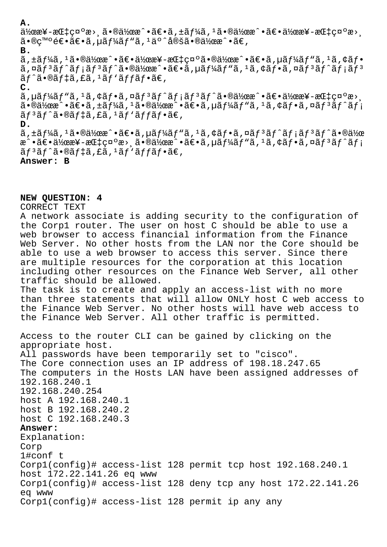**A.**

 $a\bar{a}$ ≠æ $a\bar{a}$ ≠ $a\bar{a}$   $a\bar{a}$  and  $\bar{a}$   $\bar{a}$  and  $\bar{a}$  and  $\bar{a}$ ,  $\bar{a}$  and  $\bar{a}$  and  $\bar{a}$  and  $\bar{a}$  and  $\bar{a}$  and  $\bar{a}$  and  $\bar{a}$  and  $\bar{a}$  and  $\bar{a}$  and  $\bar{a}$  and  $\bar{a}$  and  $\bar{a}$ 㕮癰逕〕ã,µãƒ¼ãƒ"ã,1ä°^定㕮作æ^•ã€,

**B.**

ã, $\pm$ ã $f$ ¼ã, $^1$ 㕮作æ^•〕作æ¥-æŒ $\pm$ 礰㕮作æ^•〕ã, $\mu$ ã $f$ ¼ã $f$ "ã, $^1$ ã, $\phi$ ã $f$ •  $\tilde{a}$ ,  $\tilde{a}$  $f$ <sup>3</sup> $\tilde{a}$  $f$ <sup>3</sup> $\tilde{a}$  $f$ <sup>3</sup> $\tilde{a}$  $f$  $\tilde{a}$  $\tilde{b}$  $\tilde{a}$  $\tilde{b}$  $\tilde{c}$  $\tilde{a}$ ,  $\tilde{a}$  $\tilde{f}$  $\tilde{a}$  $\tilde{f}$  $\tilde{a}$  $\tilde{f}$  $\tilde{a}$  $\tilde{f}$  $\tilde{a}$  $\tilde{f}$  $\tilde{a}$  $\tilde{f}$  $\tilde{a}$  $\tilde$  $arctan 66$   $arctan 12$   $arctan 12$   $arctan 66$ , **C.**

 $\tilde{a}$ ,  $\mu \tilde{a} f$ ¼ $\tilde{a} f$ " $\tilde{a}$ ,  $\dot{\alpha} f$ ' $\tilde{a} f$ ĵ $\tilde{a} f$ ĵ $\tilde{a} f$ ĵ $\tilde{a} f$  $\tilde{a} f$  $\tilde{a}$ ° $\tilde{a} f$  $\tilde{a}$ ° $\tilde{a} f$ ° $\tilde{a} f$ ° $\tilde{a} f$ ° $\tilde{a} f$ ° $\tilde{a} f$ ° $\tilde{a} f$ ° $\tilde{a} f$ ° $\tilde{a} f$  $\tilde{a}$ •®ä½œæ^•ã $\varepsilon$ •ã,±ã $f$ ¼ã, $^1$ 㕮作æ^•ã $\varepsilon$ •ã, $\mu$ ã $f$ ¼ã $f$ "ã, $^1$ ã,¢ã $f$ •ã,¤ã $f$ °ã $f$ °ã $f$ ;  $\tilde{a}f^3\tilde{a}f'\tilde{a} \cdot \tilde{\omega}f$ # $\tilde{a}f$ . f $\tilde{a}f'$ a $\tilde{f}$ afo $\tilde{a}f$ .

**D.**

 $\tilde{a}$ ,  $\tilde{a}$   $\tilde{f}$   $\tilde{f}$   $\tilde{a}$   $\tilde{f}$   $\tilde{f}$   $\tilde{f}$   $\tilde{f}$   $\tilde{f}$   $\tilde{f}$   $\tilde{f}$   $\tilde{f}$   $\tilde{f}$   $\tilde{f}$   $\tilde{f}$   $\tilde{f}$   $\tilde{f}$   $\tilde{f}$   $\tilde{f}$   $\tilde{f}$   $\tilde{f}$   $\tilde{f}$   $\tilde{f}$   $\tilde$ æ^•〕作æ¥-指礰æ>ຸ㕮作æ^•〕ã,µãƒ¼ãƒ"ã,ŀã,¢ãƒ•ã,¤ãƒ3ãƒ^ãƒ;  $\tilde{a}f^3\tilde{a}f^*\tilde{a} \cdot \tilde{\omega}f$ # $\tilde{a}f$ , £ $\tilde{a}f^3\tilde{a}f^*\tilde{a}f \cdot \tilde{a}\in \mathcal{C}$ 

**Answer: B**

#### **NEW QUESTION: 4**

CORRECT TEXT

A network associate is adding security to the configuration of the Corp1 router. The user on host C should be able to use a web browser to access financial information from the Finance Web Server. No other hosts from the LAN nor the Core should be able to use a web browser to access this server. Since there are multiple resources for the corporation at this location including other resources on the Finance Web Server, all other traffic should be allowed. The task is to create and apply an access-list with no more than three statements that will allow ONLY host C web access to the Finance Web Server. No other hosts will have web access to the Finance Web Server. All other traffic is permitted. Access to the router CLI can be gained by clicking on the appropriate host. All passwords have been temporarily set to "cisco". The Core connection uses an IP address of 198.18.247.65 The computers in the Hosts LAN have been assigned addresses of 192.168.240.1 192.168.240.254 host A 192.168.240.1 host B 192.168.240.2 host C 192.168.240.3 **Answer:**  Explanation: Corp 1#conf t Corp1(config)# access-list 128 permit tcp host 192.168.240.1 host 172.22.141.26 eq www Corp1(config)# access-list 128 deny tcp any host 172.22.141.26 eq www Corp1(config)# access-list 128 permit ip any any